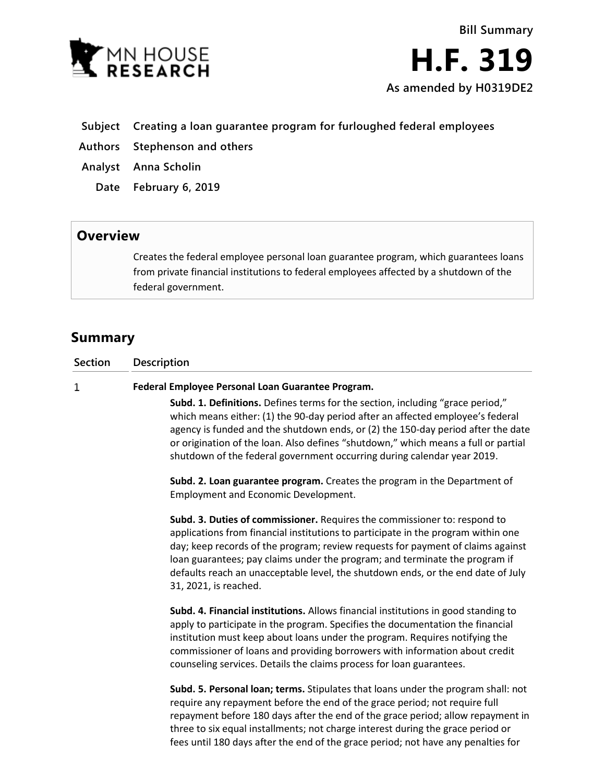



- **Subject Creating a loan guarantee program for furloughed federal employees**
- **Authors Stephenson and others**
- **Analyst Anna Scholin**
	- **Date February 6, 2019**

## **Overview**

Creates the federal employee personal loan guarantee program, which guarantees loans from private financial institutions to federal employees affected by a shutdown of the federal government.

# **Summary**

**Section Description Federal Employee Personal Loan Guarantee Program.**  $\mathbf{1}$ **Subd. 1. Definitions.** Defines terms for the section, including "grace period," which means either: (1) the 90-day period after an affected employee's federal

agency is funded and the shutdown ends, or (2) the 150-day period after the date or origination of the loan. Also defines "shutdown," which means a full or partial shutdown of the federal government occurring during calendar year 2019.

**Subd. 2. Loan guarantee program.** Creates the program in the Department of Employment and Economic Development.

**Subd. 3. Duties of commissioner.** Requires the commissioner to: respond to applications from financial institutions to participate in the program within one day; keep records of the program; review requests for payment of claims against loan guarantees; pay claims under the program; and terminate the program if defaults reach an unacceptable level, the shutdown ends, or the end date of July 31, 2021, is reached.

**Subd. 4. Financial institutions.** Allows financial institutions in good standing to apply to participate in the program. Specifies the documentation the financial institution must keep about loans under the program. Requires notifying the commissioner of loans and providing borrowers with information about credit counseling services. Details the claims process for loan guarantees.

**Subd. 5. Personal loan; terms.** Stipulates that loans under the program shall: not require any repayment before the end of the grace period; not require full repayment before 180 days after the end of the grace period; allow repayment in three to six equal installments; not charge interest during the grace period or fees until 180 days after the end of the grace period; not have any penalties for